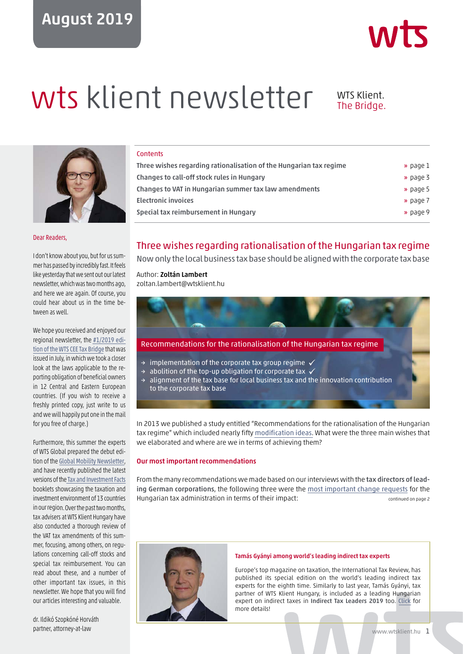# August 2019



# wts klient newsletter WTS Klient.

The Bridge.



Dear Readers,

I don't know about you, but for us summer has passed by incredibly fast. It feels like yesterday that we sent out our latest newsletter, which was two months ago, and here we are again. Of course, you could hear about us in the time between as well.

We hope you received and enjoyed our regional newsletter, the [#1/2019 edi](https://wtsklient.hu/wp-content/uploads/2019/07/wts-cee-tax-bridge-201901.pdf)[tion of the WTS CEE Tax Bridge](https://wtsklient.hu/wp-content/uploads/2019/07/wts-cee-tax-bridge-201901.pdf) that was issued in July, in which we took a closer look at the laws applicable to the reporting obligation of beneficial owners in 12 Central and Eastern European countries. (If you wish to receive a freshly printed copy, just write to us and we will happily put one in the mail for you free of charge.)

Furthermore, this summer the experts of WTS Global prepared the debut edition of the [Global Mobility Newsletter](https://wtsklient.hu/wp-content/uploads/2019/07/wts_global_mobility-newsletter_1_2019.pdf), and have recently published the latest versions of the [Tax and Investment Facts](https://wtsklient.hu/en/publications/tax-and-investment-facts/) booklets showcasing the taxation and investment environment of 13 countries in our region. Over the past two months, tax advisers at WTS Klient Hungary have also conducted a thorough review of the VAT tax amendments of this summer, focusing, among others, on regulations concerning call-off stocks and special tax reimbursement. You can read about these, and a number of other important tax issues, in this newsletter. We hope that you will find our articles interesting and valuable.

**Contents** 

| Three wishes regarding rationalisation of the Hungarian tax regime | » page 1             |
|--------------------------------------------------------------------|----------------------|
| Changes to call-off stock rules in Hungary                         | $\rightarrow$ page 3 |
| Changes to VAT in Hungarian summer tax law amendments              | $\rightarrow$ page 5 |
| <b>Electronic invoices</b>                                         | » page 7             |
| Special tax reimbursement in Hungary                               | » page 9             |
|                                                                    |                      |

# Three wishes regarding rationalisation of the Hungarian tax regime

Now only the local business tax base should be aligned with the corporate tax base

# Author: Zoltán Lambert

zoltan.lambert@wtsklient.hu



In 2013 we published a study entitled "Recommendations for the rationalisation of the Hungarian tax regime" which included nearly fifty [modification ideas](https://wtsklient.hu/en/2017/11/21/tax-strategy-proposals/). What were the three main wishes that we elaborated and where are we in terms of achieving them?

## Our most important recommendations

From the many recommendations we made based on our interviews with the tax directors of leading German corporations, the following three were the [most important change requests](https://wtsklient.hu/en/2018/07/03/tax-regime/) for the Hungarian tax administration in terms of their impact: continued on page 2



#### Tamás Gyányi among world's leading indirect tax experts

Europe's top magazine on taxation, the International Tax Review, has [published its special edition on the world's leading indirect tax](https://wtsklient.hu/en/2019/08/22/tamas-gyanyi-among-worlds-leading-indirect-tax-experts/) experts for the eighth time. Similarly to last year, Tamás Gyányi, tax partner of WTS Klient Hungary, is included as a leading Hungarian expert on indirect taxes in Indirect Tax Leaders 2019 too. Click for more details!

dr. Ildikó Szopkóné Horváth partner, attorney-at-law

#### www.wtsklient.hu 1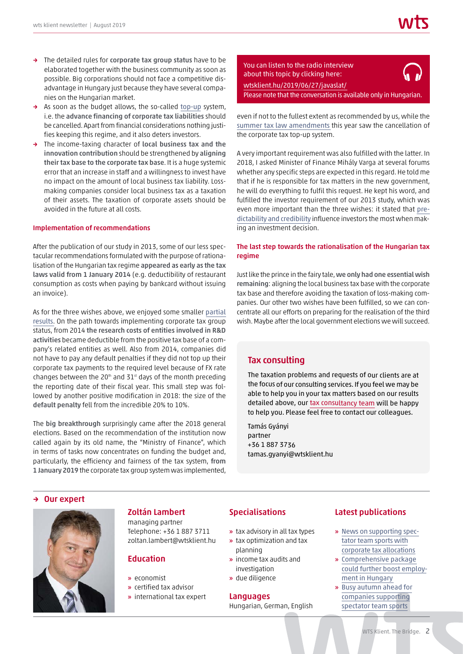- → The detailed rules for corporate tax group status have to be elaborated together with the business community as soon as possible. Big corporations should not face a competitive disadvantage in Hungary just because they have several companies on the Hungarian market.
- → As soon as the budget allows, the so-called [top-up](https://wtsklient.hu/en/2017/06/27/paying-topping-corporate-tax/) system, i.e. the advance financing of corporate tax liabilities should be cancelled. Apart from financial considerations nothing justifies keeping this regime, and it also deters investors.
- → The income-taxing character of local business tax and the innovation contribution should be strengthened by aligning their tax base to the corporate tax base. It is a huge systemic error that an increase in staff and a willingness to invest have no impact on the amount of local business tax liability. Lossmaking companies consider local business tax as a taxation of their assets. The taxation of corporate assets should be avoided in the future at all costs.

#### Implementation of recommendations

After the publication of our study in 2013, some of our less spectacular recommendations formulated with the purpose of rationalisation of the Hungarian tax regime appeared as early as the tax laws valid from 1 January 2014 (e.g. deductibility of restaurant consumption as costs when paying by bankcard without issuing an invoice).

As for the three wishes above, we enjoyed some smaller [partial](https://wtsklient.hu/en/tax-strategy-day-2018-proposals/) [results](https://wtsklient.hu/en/tax-strategy-day-2018-proposals/). On the path towards implementing corporate tax group status, from 2014 the research costs of entities involved in R&D activities became deductible from the positive tax base of a company's related entities as well. Also from 2014, companies did not have to pay any default penalties if they did not top up their corporate tax payments to the required level because of FX rate changes between the 20<sup>th</sup> and 31<sup>st</sup> days of the month preceding the reporting date of their fiscal year. This small step was followed by another positive modification in 2018: the size of the default penalty fell from the incredible 20% to 10%.

The big breakthrough surprisingly came after the 2018 general elections. Based on the recommendation of the institution now called again by its old name, the "Ministry of Finance", which in terms of tasks now concentrates on funding the budget and, particularly, the efficiency and fairness of the tax system, from 1 January 2019 the corporate tax group system was implemented,



even if not to the fullest extent as recommended by us, while the [summer tax law amendments](https://wtsklient.hu/en/2019/06/07/summer-2019-amendments-to-tax-laws/) this year saw the cancellation of the corporate tax top-up system.

A very important requirement was also fulfilled with the latter. In 2018, I asked Minister of Finance Mihály Varga at several forums whether any specific steps are expected in this regard. He told me that if he is responsible for tax matters in the new government, he will do everything to fulfil this request. He kept his word, and fulfilled the investor requirement of our 2013 study, which was even more important than the three wishes: it stated that [pre](https://wtsklient.hu/en/2017/09/26/taxation-policy/)[dictability and credibility](https://wtsklient.hu/en/2017/09/26/taxation-policy/) influence investors the most when making an investment decision.

# The last step towards the rationalisation of the Hungarian tax regime

Just like the prince in the fairy tale, we only had one essential wish remaining: aligning the local business tax base with the corporate tax base and therefore avoiding the taxation of loss-making companies. Our other two wishes have been fulfilled, so we can concentrate all our efforts on preparing for the realisation of the third wish. Maybe after the local government elections we will succeed.

# Tax consulting

The taxation problems and requests of our clients are at the focus of our consulting services. If you feel we may be able to help you in your tax matters based on our results detailed above, our [tax consultancy team](https://wtsklient.hu/en/services/tax-consulting/) will be happy to help you. Please feel free to contact our colleagues.

Tamás Gyányi partner +36 1 887 3736 tamas.gyanyi@wtsklient.hu

#### → Our expert



# Zoltán Lambert

managing partner Telephone: +36 1 887 3711 zoltan.lambert@wtsklient.hu

# Education

- » economist
- » certified tax advisor
- » international tax expert

# Specialisations

- » tax advisory in all tax types
- » tax optimization and tax planning
- » income tax audits and investigation
- » due diligence

## Languages

Hungarian, German, English

# Latest publications

- » [News on supporting spec](https://wtsklient.hu/en/2019/05/14/supporting-spectator-team-sports-with-corporate-tax-allocations/)tator team sports with corporate tax allocations
- » Comprehensive package [could further boost employ](https://wtsklient.hu/en/2019/04/02/employment-in-hungary/)ment in Hungary
- » [Busy autumn ahead for](https://wtsklient.hu/en/2018/10/02/spectator-team-sports/)  companies supporting spectator team sports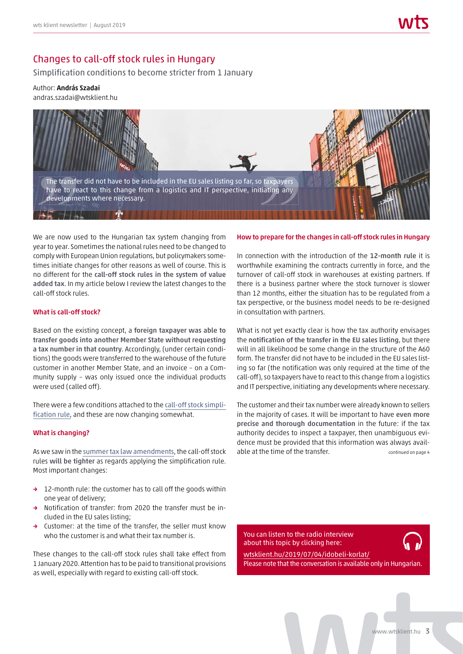# Changes to call-off stock rules in Hungary

Simplification conditions to become stricter from 1 January

## Author: András Szadai andras.szadai@wtsklient.hu



We are now used to the Hungarian tax system changing from year to year. Sometimes the national rules need to be changed to comply with European Union regulations, but policymakers sometimes initiate changes for other reasons as well of course. This is no different for the call-off stock rules in the system of value added tax. In my article below I review the latest changes to the call-off stock rules.

## What is call-off stock?

Based on the existing concept, a foreign taxpayer was able to transfer goods into another Member State without requesting a tax number in that country. Accordingly, (under certain conditions) the goods were transferred to the warehouse of the future customer in another Member State, and an invoice – on a Community supply – was only issued once the individual products were used (called off).

There were a few conditions attached to the [call-off stock simpli](https://wtsklient.hu/en/2018/09/25/call-off-stock-simplification-rule/)[fication rule](https://wtsklient.hu/en/2018/09/25/call-off-stock-simplification-rule/), and these are now changing somewhat.

## What is changing?

As we saw in the [summer tax law amendments](https://wtsklient.hu/en/2019/06/07/summer-2019-amendments-to-tax-laws/), the call-off stock rules will be tighter as regards applying the simplification rule. Most important changes:

- → 12-month rule: the customer has to call off the goods within one year of delivery;
- → Notification of transfer: from 2020 the transfer must be included in the EU sales listing;
- → Customer: at the time of the transfer, the seller must know who the customer is and what their tax number is.

These changes to the call-off stock rules shall take effect from 1 January 2020. Attention has to be paid to transitional provisions as well, especially with regard to existing call-off stock.

# How to prepare for the changes in call-off stock rules in Hungary

In connection with the introduction of the 12-month rule it is worthwhile examining the contracts currently in force, and the turnover of call-off stock in warehouses at existing partners. If there is a business partner where the stock turnover is slower than 12 months, either the situation has to be regulated from a tax perspective, or the business model needs to be re-designed in consultation with partners.

What is not yet exactly clear is how the tax authority envisages the notification of the transfer in the EU sales listing, but there will in all likelihood be some change in the structure of the A60 form. The transfer did not have to be included in the EU sales listing so far (the notification was only required at the time of the call-off), so taxpayers have to react to this change from a logistics and IT perspective, initiating any developments where necessary.

The customer and their tax number were already known to sellers in the majority of cases. It will be important to have even more precise and thorough documentation in the future: if the tax authority decides to inspect a taxpayer, then unambiguous evidence must be provided that this information was always available at the time of the transfer. The continued on page 4

You can listen to the radio interview about this topic by clicking here:



wtsklient.hu/2019/07/04/idobeli-korlat/ [Please note that the conversation is available only in Hungarian.](https://wtsklient.hu/2019/07/04/idobeli-korlat/)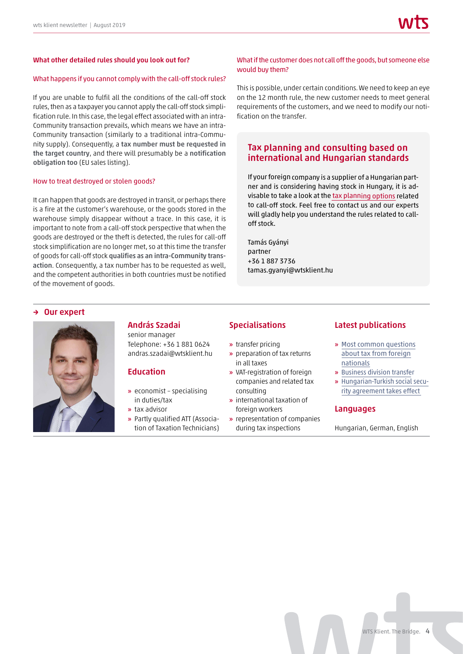#### What other detailed rules should you look out for?

#### What happens if you cannot comply with the call-off stock rules?

If you are unable to fulfil all the conditions of the call-off stock rules, then as a taxpayer you cannot apply the call-off stock simplification rule. In this case, the legal effect associated with an intra-Community transaction prevails, which means we have an intra-Community transaction (similarly to a traditional intra-Community supply). Consequently, a tax number must be requested in the target country, and there will presumably be a notification obligation too (EU sales listing).

#### How to treat destroyed or stolen goods?

It can happen that goods are destroyed in transit, or perhaps there is a fire at the customer's warehouse, or the goods stored in the warehouse simply disappear without a trace. In this case, it is important to note from a call-off stock perspective that when the goods are destroyed or the theft is detected, the rules for call-off stock simplification are no longer met, so at this time the transfer of goods for call-off stock qualifies as an intra-Community transaction. Consequently, a tax number has to be requested as well, and the competent authorities in both countries must be notified of the movement of goods.

#### What if the customer does not call off the goods, but someone else would buy them?

This is possible, under certain conditions. We need to keep an eye on the 12 month rule, the new customer needs to meet general requirements of the customers, and we need to modify our notification on the transfer.

# Tax planning and consulting based on international and Hungarian standards

If your foreign company is a supplier of a Hungarian partner and is considering having stock in Hungary, it is advisable to take <sup>a</sup> look at the tax [planning](https://wtsklient.hu/en/services/tax-planning-and-consulting-based-on-international-and-hungarian-standards/) options related to call-off stock. Feel free to contact us and our experts will gladly help you understand the rules related to calloff stock.

Tamás Gyányi partner +36 1 887 3736 tamas.gyanyi@wtsklient.hu

#### → Our expert



# András Szadai

senior manager Telephone: +36 1 881 0624 andras.szadai@wtsklient.hu

# Education

- » economist specialising in duties/tax
- » tax advisor
- » Partly qualified ATT (Association of Taxation Technicians)

# Specialisations

- » transfer pricing
- » preparation of tax returns in all taxes
- » VAT-registration of foreign companies and related tax consulting
- » international taxation of foreign workers
- » representation of companies during tax inspections

## Latest publications

- » Most common [questions](https://wtsklient.hu/en/2018/12/18/foreign-nationals/) about tax from foreign nationals
- » [Business](https://wtsklient.hu/en/2018/08/07/business-division-transfer/) division transfer
- » [Hungarian-Turkish](https://wtsklient.hu/en/2018/04/10/hungarian-turkish-social-security-agreement/) social security agreement takes effect

#### Languages

Hungarian, German, English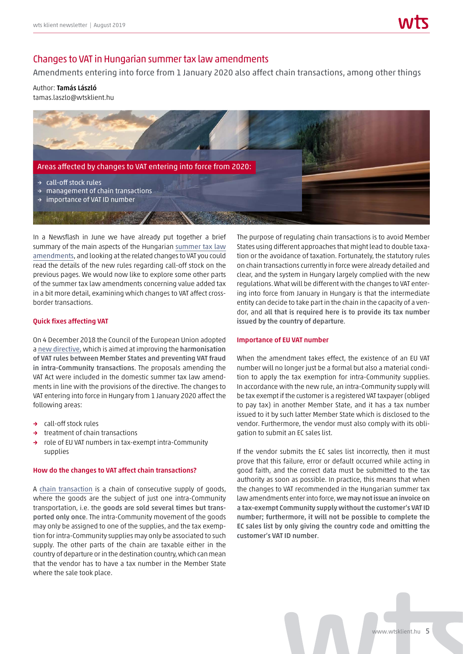# Changes to VAT in Hungarian summer tax law amendments

Amendments entering into force from 1 January 2020 also affect chain transactions, among other things

# Author: Tamás László

tamas.laszlo@wtsklient.hu



In a Newsflash in June we have already put together a brief summary of the main aspects of the Hungarian [summer tax law](https://wtsklient.hu/en/2019/06/07/summer-2019-amendments-to-tax-laws/) [amendments](https://wtsklient.hu/en/2019/06/07/summer-2019-amendments-to-tax-laws/), and looking at the related changes to VAT you could read the details of the new rules regarding call-off stock on the previous pages. We would now like to explore some other parts of the summer tax law amendments concerning value added tax in a bit more detail, examining which changes to VAT affect crossborder transactions.

## Quick fixes affecting VAT

On 4 December 2018 the Council of the European Union adopted a [new directive](https://wtsklient.hu/en/2019/04/04/quick-fixes/), which is aimed at improving the harmonisation of VAT rules between Member States and preventing VAT fraud in intra-Community transactions. The proposals amending the VAT Act were included in the domestic summer tax law amendments in line with the provisions of the directive. The changes to VAT entering into force in Hungary from 1 January 2020 affect the following areas:

- → call-off stock rules
- → treatment of chain transactions
- → role of EU VAT numbers in tax-exempt intra-Community supplies

#### How do the changes to VAT affect chain transactions?

A [chain transaction](https://wtsklient.hu/en/2018/05/02/chain-transactions/) is a chain of consecutive supply of goods, where the goods are the subject of just one intra-Community transportation, i.e. the goods are sold several times but transported only once. The intra-Community movement of the goods may only be assigned to one of the supplies, and the tax exemption for intra-Community supplies may only be associated to such supply. The other parts of the chain are taxable either in the country of departure or in the destination country, which can mean that the vendor has to have a tax number in the Member State where the sale took place.

The purpose of regulating chain transactions is to avoid Member States using different approaches that might lead to double taxation or the avoidance of taxation. Fortunately, the statutory rules on chain transactions currently in force were already detailed and clear, and the system in Hungary largely complied with the new regulations. What will be different with the changes to VAT entering into force from January in Hungary is that the intermediate entity can decide to take part in the chain in the capacity of a vendor, and all that is required here is to provide its tax number issued by the country of departure.

#### Importance of EU VAT number

When the amendment takes effect, the existence of an EU VAT number will no longer just be a formal but also a material condition to apply the tax exemption for intra-Community supplies. In accordance with the new rule, an intra-Community supply will be tax exempt if the customer is a registered VAT taxpayer (obliged to pay tax) in another Member State, and it has a tax number issued to it by such latter Member State which is disclosed to the vendor. Furthermore, the vendor must also comply with its obligation to submit an EC sales list.

If the vendor submits the EC sales list incorrectly, then it must prove that this failure, error or default occurred while acting in good faith, and the correct data must be submitted to the tax authority as soon as possible. In practice, this means that when the changes to VAT recommended in the Hungarian summer tax law amendments enter into force, we may not issue an invoice on a tax-exempt Community supply without the customer's VAT ID number; furthermore, it will not be possible to complete the EC sales list by only giving the country code and omitting the customer's VAT ID number.

www.wtsklient.hu 5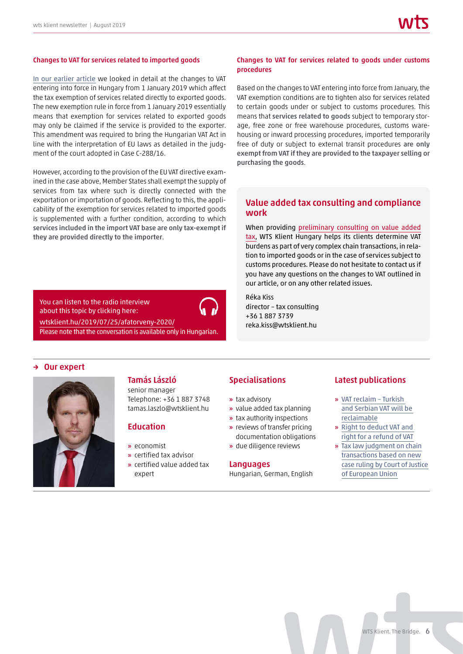#### Changes to VAT for services related to imported goods

[In our earlier article](https://wtsklient.hu/en/2019/03/19/export-freight/) we looked in detail at the changes to VAT entering into force in Hungary from 1 January 2019 which affect the tax exemption of services related directly to exported goods. The new exemption rule in force from 1 January 2019 essentially means that exemption for services related to exported goods may only be claimed if the service is provided to the exporter. This amendment was required to bring the Hungarian VAT Act in line with the interpretation of EU laws as detailed in the judgment of the court adopted in Case C-288/16.

However, according to the provision of the EU VAT directive examined in the case above, Member States shall exempt the supply of services from tax where such is directly connected with the exportation or importation of goods. Reflecting to this, the applicability of the exemption for services related to imported goods is supplemented with a further condition, according to which services included in the import VAT base are only tax-exempt if they are provided directly to the importer.

# You can listen to the radio interview about this topic by clicking here:

wtsklient.hu/2019/07/25/afatorveny-2020/

[Please note that the conversation is available only in Hungarian.](https://wtsklient.hu/2019/07/25/afatorveny-2020/)

## Changes to VAT for services related to goods under customs procedures

Based on the changes to VAT entering into force from January, the VAT exemption conditions are to tighten also for services related to certain goods under or subject to customs procedures. This means that services related to goods subject to temporary storage, free zone or free warehouse procedures, customs warehousing or inward processing procedures, imported temporarily free of duty or subject to external transit procedures are only exempt from VAT if they are provided to the taxpayer selling or purchasing the goods.

# Value added tax consulting and compliance work

When providing [preliminary consulting on value added](https://wtsklient.hu/en/services/value-added-tax-consulting-and-compliance-work/) [tax,](https://wtsklient.hu/en/services/value-added-tax-consulting-and-compliance-work/) WTS Klient Hungary helps its clients determine VAT burdens as part of very complex chain transactions, in relation to imported goods or in the case of services subject to customs procedures. Please do not hesitate to contact us if you have any questions on the changes to VAT outlined in our article, or on any other related issues.

Réka Kiss director – tax consulting +36 1 887 3739 reka.kiss@wtsklient.hu

# → Our expert



# Tamás László

senior manager Telephone: +36 1 887 3748 tamas.laszlo@wtsklient.hu

# Education

- » economist
- » certified tax advisor
- » certified value added tax expert

# Specialisations

- » tax advisory
- » value added tax planning
- » tax authority inspections
- » reviews of transfer pricing documentation obligations
- » due diligence reviews

#### **Languages**

Hungarian, German, English

# Latest publications

- » VAT reclaim Turkish [and Serbian VAT will be](https://wtsklient.hu/en/2018/09/18/vat-reclaim-turkish-and-serbian-vat-will-be-reclaimable/)  reclaimable
- » [Right to deduct VAT and](https://wtsklient.hu/en/2018/06/05/right-for-a-refund-of-vat/)  right for a refund of VAT
- » Tax law judgment on chain transactions based on new [case ruling by Court of Justice](https://wtsklient.hu/en/2018/05/02/chain-transactions/)  of European Union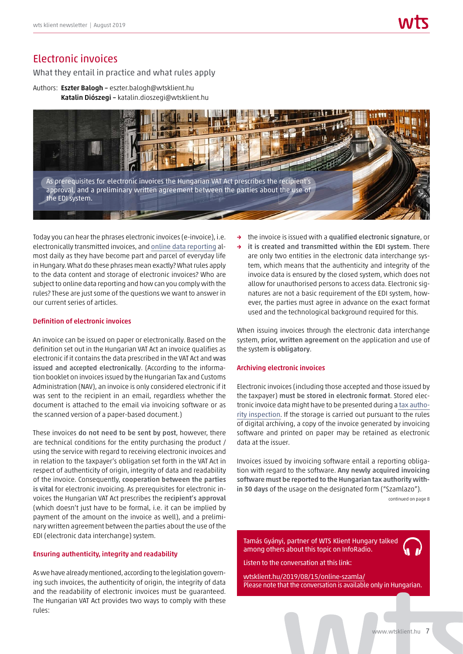# Electronic invoices

What they entail in practice and what rules apply

Authors: Eszter Balogh - eszter.balogh@wtsklient.hu Katalin Diószegi – katalin.dioszegi@wtsklient.hu



Today you can hear the phrases electronic invoices (e-invoice), i.e. electronically transmitted invoices, and [online data reporting](https://wtsklient.hu/en/2018/07/17/online-data-reporting-for-invoicing/) almost daily as they have become part and parcel of everyday life in Hungary. What do these phrases mean exactly? What rules apply to the data content and storage of electronic invoices? Who are subject to online data reporting and how can you comply with the rules? These are just some of the questions we want to answer in our current series of articles.

## Definition of electronic invoices

An invoice can be issued on paper or electronically. Based on the definition set out in the Hungarian VAT Act an invoice qualifies as electronic if it contains the data prescribed in the VAT Act and was issued and accepted electronically. (According to the information booklet on invoices issued by the Hungarian Tax and Customs Administration (NAV), an invoice is only considered electronic if it was sent to the recipient in an email, regardless whether the document is attached to the email via invoicing software or as the scanned version of a paper-based document.)

These invoices do not need to be sent by post, however, there are technical conditions for the entity purchasing the product / using the service with regard to receiving electronic invoices and in relation to the taxpayer's obligation set forth in the VAT Act in respect of authenticity of origin, integrity of data and readability of the invoice. Consequently, cooperation between the parties is vital for electronic invoicing. As prerequisites for electronic invoices the Hungarian VAT Act prescribes the recipient's approval (which doesn't just have to be formal, i.e. it can be implied by payment of the amount on the invoice as well), and a preliminary written agreement between the parties about the use of the EDI (electronic data interchange) system.

## Ensuring authenticity, integrity and readability

As we have already mentioned, according to the legislation governing such invoices, the authenticity of origin, the integrity of data and the readability of electronic invoices must be guaranteed. The Hungarian VAT Act provides two ways to comply with these rules:

- the invoice is issued with a qualified electronic signature, or
- → it is created and transmitted within the EDI system. There are only two entities in the electronic data interchange system, which means that the authenticity and integrity of the invoice data is ensured by the closed system, which does not allow for unauthorised persons to access data. Electronic signatures are not a basic requirement of the EDI system, however, the parties must agree in advance on the exact format used and the technological background required for this.

When issuing invoices through the electronic data interchange system, prior, written agreement on the application and use of the system is obligatory.

#### Archiving electronic invoices

Electronic invoices (including those accepted and those issued by the taxpayer) must be stored in electronic format. Stored electronic invoice data might have to be presented during a [tax autho](https://wtsklient.hu/en/2017/11/27/tax-inspections/)[rity inspection](https://wtsklient.hu/en/2017/11/27/tax-inspections/). If the storage is carried out pursuant to the rules of digital archiving, a copy of the invoice generated by invoicing software and printed on paper may be retained as electronic data at the issuer.

Invoices issued by invoicing software entail a reporting obligation with regard to the software. Any newly acquired invoicing software must be reported to the Hungarian tax authority within 30 days of the usage on the designated form ("Szamlazo").

continued on page 8

Tamás Gyányi, partner of WTS Klient Hungary talked among others about this topic on InfoRadio.

Listen to the conversation at this link:

wtsklient.hu/2019/08/15/online-szamla/ [Please note that the conversation is available only in Hungarian.](https://wtsklient.hu/2019/08/15/online-szamla/)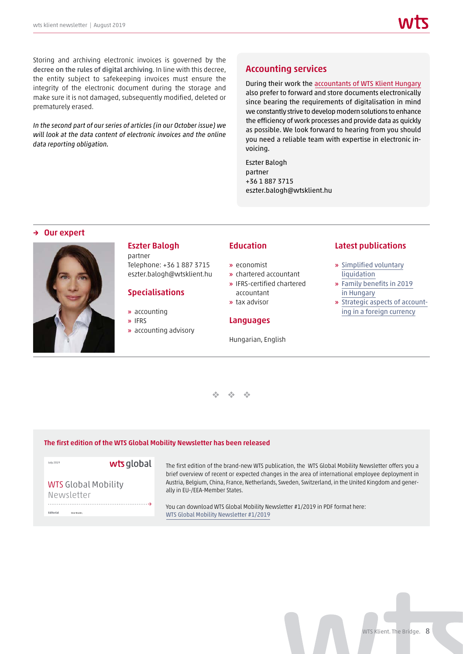Storing and archiving electronic invoices is governed by the decree on the rules of digital archiving. In line with this decree, the entity subject to safekeeping invoices must ensure the integrity of the electronic document during the storage and make sure it is not damaged, subsequently modified, deleted or prematurely erased.

*In the second part of our series of articles (in our October issue) we will look at the data content of electronic invoices and the online data reporting obligation.* 

# Accounting services

During their work the [accountants of WTS Klient Hungary](https://wtsklient.hu/en/services/accounting-services/) also prefer to forward and store documents electronically since bearing the requirements of digitalisation in mind we constantly strive to develop modern solutions to enhance the efficiency of work processes and provide data as quickly as possible. We look forward to hearing from you should you need a reliable team with expertise in electronic invoicing.

Eszter Balogh partner +36 1 887 3715 eszter.balogh@wtsklient.hu

#### → Our expert



# Eszter Balogh

partner Telephone: +36 1 887 3715 eszter.balogh@wtsklient.hu

# Specialisations

- » accounting
- » IFRS
- » accounting advisory

# Education

- » economist
- » chartered accountant
- » IFRS-certified chartered accountant
- » tax advisor

# Languages

Hungarian, English

## Latest publications

- » [Simplified voluntary](https://wtsklient.hu/en/2019/04/30/simplified-voluntary-liquidation/)  liquidation
- » [Family benefits in 2019](https://wtsklient.hu/en/2019/03/05/family-benefits/)  in Hungary
- » [Strategic aspects of account](https://wtsklient.hu/en/2017/06/12/accounting-strategy/)ing in a foreign currency



#### [The first edition of the WTS Global Mobility Newsletter has been released](https://wtsklient.hu/wp-content/uploads/2019/07/wts_global_mobility-newsletter_1_2019.pdf)

→

July 2019

**Editorial**

wts global

WTS Global Mobility Newsletter

Dear Reader,

The first edition of the brand-new WTS publication, the WTS Global Mobility Newsletter offers you a brief overview of recent or expected changes in the area of international employee deployment in Austria, Belgium, China, France, Netherlands, Sweden, Switzerland, in the United Kingdom and generally in EU-/EEA-Member States.

You can download WTS Global Mobility Newsletter #1/2019 in PDF format here: WTS Global Mobility Newsletter #1/2019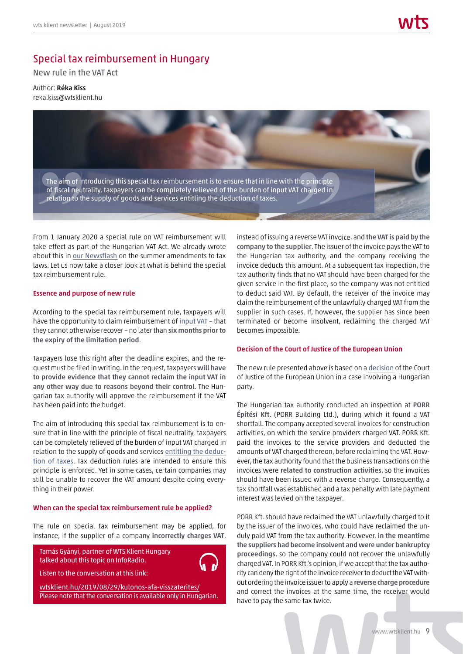# Special tax reimbursement in Hungary

New rule in the VAT Act

Author: Réka Kiss reka.kiss@wtsklient.hu



From 1 January 2020 a special rule on VAT reimbursement will take effect as part of the Hungarian VAT Act. We already wrote about this in [our Newsflash](https://wtsklient.hu/en/2019/06/07/summer-2019-amendments-to-tax-laws/) on the summer amendments to tax laws. Let us now take a closer look at what is behind the special tax reimbursement rule.

#### Essence and purpose of new rule

According to the special tax reimbursement rule, taxpayers will have the opportunity to claim reimbursement of [input VAT](https://wtsklient.hu/en/2017/12/12/deducting-input-vat/) – that they cannot otherwise recover – no later than six months prior to the expiry of the limitation period.

Taxpayers lose this right after the deadline expires, and the request must be filed in writing. In the request, taxpayers will have to provide evidence that they cannot reclaim the input VAT in any other way due to reasons beyond their control. The Hungarian tax authority will approve the reimbursement if the VAT has been paid into the budget.

The aim of introducing this special tax reimbursement is to ensure that in line with the principle of fiscal neutrality, taxpayers can be completely relieved of the burden of input VAT charged in relation to the supply of goods and services [entitling the deduc](https://wtsklient.hu/en/2018/06/05/right-for-a-refund-of-vat/)[tion of taxes](https://wtsklient.hu/en/2018/06/05/right-for-a-refund-of-vat/). Tax deduction rules are intended to ensure this principle is enforced. Yet in some cases, certain companies may still be unable to recover the VAT amount despite doing everything in their power.

#### When can the special tax reimbursement rule be applied?

The rule on special tax reimbursement may be applied, for instance, if the supplier of a company incorrectly charges VAT,

Tamás Gyányi, partner of WTS Klient Hungary talked about this topic on InfoRadio.

Listen to the conversation at this link:

wtsklient.hu/2019/08/29/kulonos-afa-visszaterites/ [Please note that the conversation is available only in Hungarian.](https://wtsklient.hu/2019/08/29/kulonos-afa-visszaterites/)

instead of issuing a reverse VAT invoice, and the VAT is paid by the company to the supplier. The issuer of the invoice pays the VAT to the Hungarian tax authority, and the company receiving the invoice deducts this amount. At a subsequent tax inspection, the tax authority finds that no VAT should have been charged for the given service in the first place, so the company was not entitled to deduct said VAT. By default, the receiver of the invoice may claim the reimbursement of the unlawfully charged VAT from the supplier in such cases. If, however, the supplier has since been terminated or become insolvent, reclaiming the charged VAT becomes impossible. T charged in<br>
Tharged in<br>
Teverse VAT invoice, and the VAT is paid by the<br>
plylier. The issuer of the invoice pays the VAT to<br>
authority, and the company receiving the<br>
amount. At a subsequent tax inspection, the<br>
first pl

#### Decision of the Court of Justice of the European Union

The new rule presented above is based on a decision of the Court of Justice of the European Union in a case involving a Hungarian party.

The Hungarian tax authority conducted an inspection at PORR Építési Kft. (PORR Building Ltd.), during which it found a VAT shortfall. The company accepted several invoices for construction activities, on which the service providers charged VAT. PORR Kft. paid the invoices to the service providers and deducted the amounts of VAT charged thereon, before reclaiming the VAT. However, the tax authority found that the business transactions on the invoices were related to construction activities, so the invoices should have been issued with a reverse charge. Consequently, a tax shortfall was established and a tax penalty with late payment interest was levied on the taxpayer.

PORR Kft. should have reclaimed the VAT unlawfully charged to it by the issuer of the invoices, who could have reclaimed the unduly paid VAT from the tax authority. However, in the meantime the suppliers had become insolvent and were under bankruptcy proceedings, so the company could not recover the unlawfully charged VAT. In PORR Kft.'s opinion, if we accept that the tax authority can deny the right of the invoice receiver to deduct the VAT without ordering the invoice issuer to apply a reverse charge procedure and correct the invoices at the same time, the receiver would have to pay the same tax twice.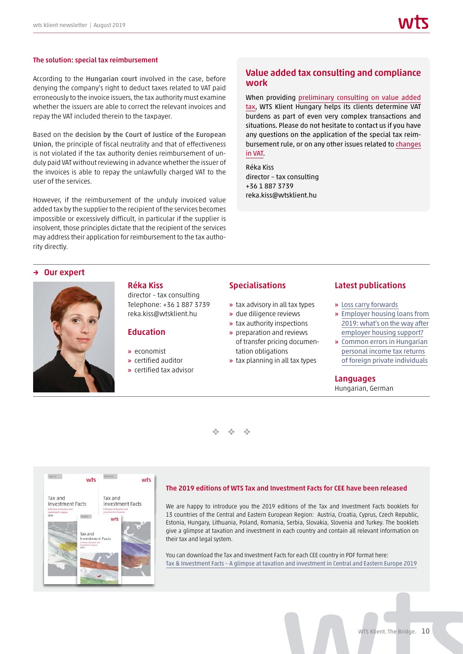#### The solution: special tax reimbursement

According to the Hungarian court involved in the case, before denying the company's right to deduct taxes related to VAT paid erroneously to the invoice issuers, the tax authority must examine whether the issuers are able to correct the relevant invoices and repay the VAT included therein to the taxpayer.

Based on the decision by the Court of Justice of the European Union, the principle of fiscal neutrality and that of effectiveness is not violated if the tax authority denies reimbursement of unduly paid VAT without reviewing in advance whether the issuer of the invoices is able to repay the unlawfully charged VAT to the user of the services.

However, if the reimbursement of the unduly invoiced value added tax by the supplier to the recipient of the services becomes impossible or excessively difficult, in particular if the supplier is insolvent, those principles dictate that the recipient of the services may address their application for reimbursement to the tax authority directly.

# Value added tax consulting and compliance work

When providing [preliminary consulting on value added](https://wtsklient.hu/en/services/value-added-tax-consulting-and-compliance-work/) [tax,](https://wtsklient.hu/en/services/value-added-tax-consulting-and-compliance-work/) WTS Klient Hungary helps its clients determine VAT burdens as part of even very complex transactions and situations. Please do not hesitate to contact us if you have any questions on the application of the special tax reimbursement rule, or on any other issues related to [changes](https://wtsklient.hu/en/2019/07/30/changes-to-vat/) [in VAT.](https://wtsklient.hu/en/2019/07/30/changes-to-vat/)

Réka Kiss director – tax consulting +36 1 887 3739 reka.kiss@wtsklient.hu

#### → Our expert



# Réka Kiss

director – tax consulting Telephone: +36 1 887 3739 reka.kiss@wtsklient.hu

# **Education**

- » economist
- » certified auditor
- » certified tax advisor

## **Specialisations**

- » tax advisory in all tax types
- » due diligence reviews
- » tax authority inspections
- » preparation and reviews of transfer pricing documentation obligations
- » tax planning in all tax types

#### Latest publications

- » [Loss carry forwards](https://wtsklient.hu/en/2019/03/12/loss-carry-forwards/)
- » [Employer housing loans from](https://wtsklient.hu/en/2018/11/20/employer-housing-loans-from-2019-whats-on-the-way-after-employer-housing-support/) 2019: what's on the way after employer housing support?
- » [Common errors in Hungarian](https://wtsklient.hu/en/2018/05/08/personal-income-tax/)  personal income tax returns of foreign private individuals

#### **Languages**

Hungarian, German

 $\frac{d^2\phi}{d^2}$  .  $\frac{d^2\phi}{d^2}$  .  $\frac{1}{2}$ 



#### [The 2019 editions of WTS Tax and Investment Facts for CEE have been released](https://wtsklient.hu/en/publications/tax-and-investment-facts/)

We are happy to introduce you the 2019 editions of the Tax and Investment Facts booklets for 13 countries of the Central and Eastern European Region: Austria, Croatia, Cyprus, Czech Republic, Estonia, Hungary, Lithuania, Poland, Romania, Serbia, Slovakia, Slovenia and Turkey. The booklets give a glimpse at taxation and investment in each country and contain all relevant information on their tax and legal system.

You can download the Tax and Investment Facts for each CEE country in PDF format here: Tax & Investment Facts – A glimpse at taxation and investment in Central and Eastern Europe 2019